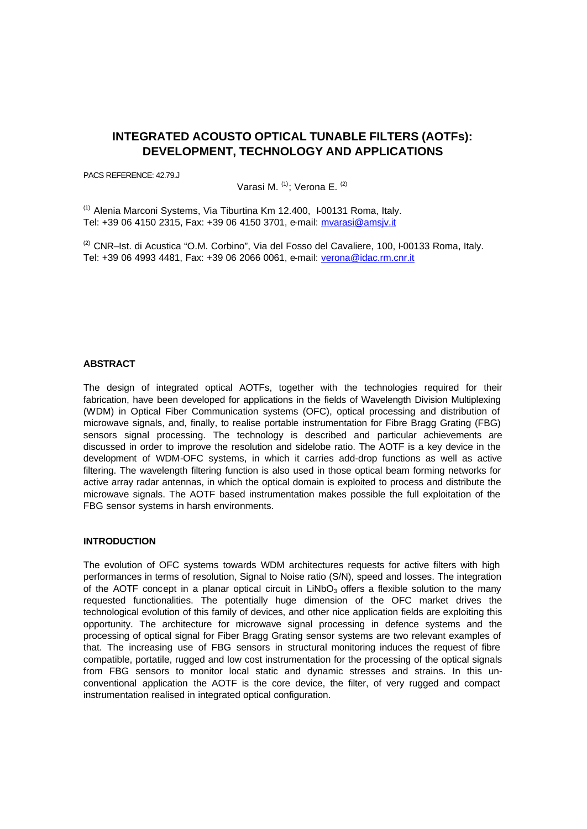# **INTEGRATED ACOUSTO OPTICAL TUNABLE FILTERS (AOTFs): DEVELOPMENT, TECHNOLOGY AND APPLICATIONS**

PACS REFERENCE: 42.79.J

Varasi M. <sup>(1)</sup>; Verona E. <sup>(2)</sup>

(1) Alenia Marconi Systems, Via Tiburtina Km 12.400, I-00131 Roma, Italy. Tel: +39 06 4150 2315, Fax: +39 06 4150 3701, e-mail: mvarasi@amsjv.it

(2) CNR–Ist. di Acustica "O.M. Corbino", Via del Fosso del Cavaliere, 100, I-00133 Roma, Italy. Tel: +39 06 4993 4481, Fax: +39 06 2066 0061, e-mail: verona@idac.rm.cnr.it

## **ABSTRACT**

The design of integrated optical AOTFs, together with the technologies required for their fabrication, have been developed for applications in the fields of Wavelength Division Multiplexing (WDM) in Optical Fiber Communication systems (OFC), optical processing and distribution of microwave signals, and, finally, to realise portable instrumentation for Fibre Bragg Grating (FBG) sensors signal processing. The technology is described and particular achievements are discussed in order to improve the resolution and sidelobe ratio. The AOTF is a key device in the development of WDM-OFC systems, in which it carries add-drop functions as well as active filtering. The wavelength filtering function is also used in those optical beam forming networks for active array radar antennas, in which the optical domain is exploited to process and distribute the microwave signals. The AOTF based instrumentation makes possible the full exploitation of the FBG sensor systems in harsh environments.

#### **INTRODUCTION**

The evolution of OFC systems towards WDM architectures requests for active filters with high performances in terms of resolution, Signal to Noise ratio (S/N), speed and losses. The integration of the AOTF concept in a planar optical circuit in LiNbO<sub>3</sub> offers a flexible solution to the many requested functionalities. The potentially huge dimension of the OFC market drives the technological evolution of this family of devices, and other nice application fields are exploiting this opportunity. The architecture for microwave signal processing in defence systems and the processing of optical signal for Fiber Bragg Grating sensor systems are two relevant examples of that. The increasing use of FBG sensors in structural monitoring induces the request of fibre compatible, portatile, rugged and low cost instrumentation for the processing of the optical signals from FBG sensors to monitor local static and dynamic stresses and strains. In this unconventional application the AOTF is the core device, the filter, of very rugged and compact instrumentation realised in integrated optical configuration.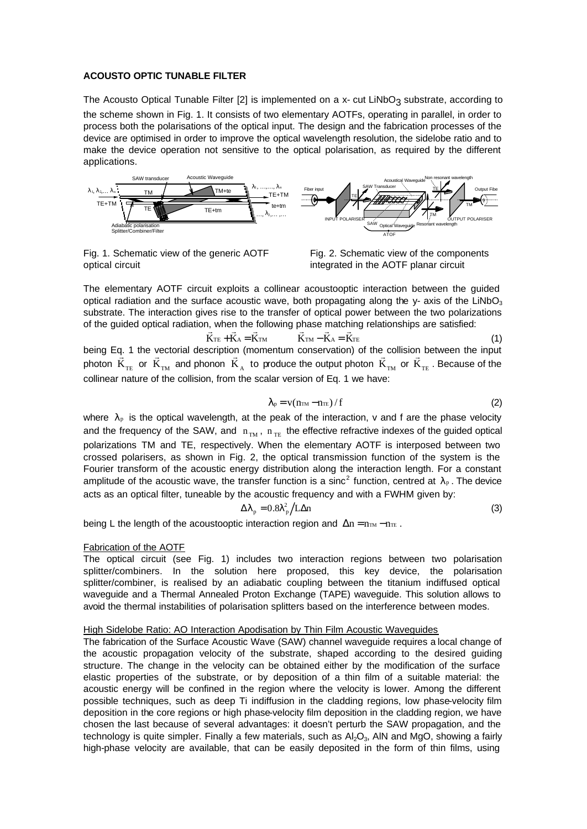# **ACOUSTO OPTIC TUNABLE FILTER**

The Acousto Optical Tunable Filter [2] is implemented on a x- cut LiNbO<sub>3</sub> substrate, according to the scheme shown in Fig. 1. It consists of two elementary AOTFs, operating in parallel, in order to process both the polarisations of the optical input. The design and the fabrication processes of the device are optimised in order to improve the optical wavelength resolution, the sidelobe ratio and to make the device operation not sensitive to the optical polarisation, as required by the different applications.



Fig. 1. Schematic view of the generic AOTF optical circuit

Fig. 2. Schematic view of the components integrated in the AOTF planar circuit

The elementary AOTF circuit exploits a collinear acoustooptic interaction between the guided optical radiation and the surface acoustic wave, both propagating along the  $y$ - axis of the LiNbO<sub>3</sub> substrate. The interaction gives rise to the transfer of optical power between the two polarizations of the guided optical radiation, when the following phase matching relationships are satisfied:

 $\vec{K}_{TE} + \vec{K}_{A} = \vec{K}_{TM}$  $+\overrightarrow{K}_{A} = \overrightarrow{K}_{TM}$   $\overrightarrow{K}_{TM} - \overrightarrow{K}_{A} = \overrightarrow{K}_{TE}$  (1) being Eq. 1 the vectorial description (momentum conservation) of the collision between the input photon  $\rm{K}_{\rm TE}$  or  $\rm{K}_{\rm TM}$  and phonon  $\rm{K}_{\rm A}$  to produce the output photon  $\rm{K}_{\rm TM}$  or  $\rm{K}_{\rm TE}$  . Because of the collinear nature of the collision, from the scalar version of Eq. 1 we have:

$$
\lambda_{\rm p} = \mathbf{v} (n_{\rm TM} - n_{\rm TE}) / f \tag{2}
$$

where  $\lambda_{\rm P}$  is the optical wavelength, at the peak of the interaction, v and f are the phase velocity and the frequency of the SAW, and  $n_{\text{TM}}$ ,  $n_{\text{TE}}$  the effective refractive indexes of the guided optical polarizations TM and TE, respectively. When the elementary AOTF is interposed between two crossed polarisers, as shown in Fig. 2, the optical transmission function of the system is the Fourier transform of the acoustic energy distribution along the interaction length. For a constant amplitude of the acoustic wave, the transfer function is a sinc<sup>2</sup> function, centred at  $\lambda_p$ . The device acts as an optical filter, tuneable by the acoustic frequency and with a FWHM given by:

$$
\Delta\lambda_{\rm p} = 0.8\lambda_{\rm p}^2/L\Delta n\tag{3}
$$

being L the length of the acoustooptic interaction region and  $\Delta n = n_{T^M} - n_{T^E}$ .

# Fabrication of the AOTF

The optical circuit (see Fig. 1) includes two interaction regions between two polarisation splitter/combiners. In the solution here proposed, this key device, the polarisation splitter/combiner, is realised by an adiabatic coupling between the titanium indiffused optical waveguide and a Thermal Annealed Proton Exchange (TAPE) waveguide. This solution allows to avoid the thermal instabilities of polarisation splitters based on the interference between modes.

#### High Sidelobe Ratio: AO Interaction Apodisation by Thin Film Acoustic Waveguides

The fabrication of the Surface Acoustic Wave (SAW) channel waveguide requires a local change of the acoustic propagation velocity of the substrate, shaped according to the desired guiding structure. The change in the velocity can be obtained either by the modification of the surface elastic properties of the substrate, or by deposition of a thin film of a suitable material: the acoustic energy will be confined in the region where the velocity is lower. Among the different possible techniques, such as deep Ti indiffusion in the cladding regions, low phase-velocity film deposition in the core regions or high phase-velocity film deposition in the cladding region, we have chosen the last because of several advantages: it doesn't perturb the SAW propagation, and the technology is quite simpler. Finally a few materials, such as  $A_2O_3$ , AlN and MgO, showing a fairly high-phase velocity are available, that can be easily deposited in the form of thin films, using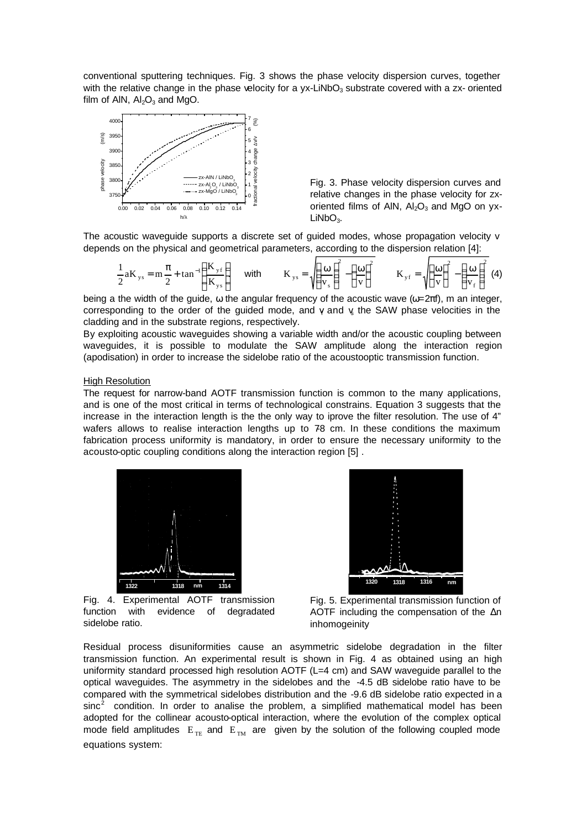conventional sputtering techniques. Fig. 3 shows the phase velocity dispersion curves, together with the relative change in the phase velocity for a  $yx$ -LiNbO<sub>3</sub> substrate covered with a zx- oriented film of AIN,  $Al_2O_3$  and MgO.



Fig. 3. Phase velocity dispersion curves and relative changes in the phase velocity for zxoriented films of AIN,  $Al<sub>2</sub>O<sub>3</sub>$  and MgO on yx- $LiNbO<sub>3</sub>$ .

The acoustic waveguide supports a discrete set of guided modes, whose propagation velocity v depends on the physical and geometrical parameters, according to the dispersion relation [4]:

$$
\frac{1}{2}aK_{ys} = m\frac{\pi}{2} + \tan^{-1}\left(\frac{K_{yf}}{K_{ys}}\right) \quad \text{with} \quad K_{ys} = \sqrt{\left(\frac{\omega}{v_s}\right)^2 - \left(\frac{\omega}{v}\right)^2} \quad K_{yf} = \sqrt{\left(\frac{\omega}{v}\right)^2 - \left(\frac{\omega}{v_f}\right)^2} \tag{4}
$$

being a the width of the guide,  $\omega$  the angular frequency of the acoustic wave ( $\omega = 2\pi f$ ), m an integer, corresponding to the order of the guided mode, and  $\gamma$  and  $\gamma$  the SAW phase velocities in the cladding and in the substrate regions, respectively.

By exploiting acoustic waveguides showing a variable width and/or the acoustic coupling between waveguides, it is possible to modulate the SAW amplitude along the interaction region (apodisation) in order to increase the sidelobe ratio of the acoustooptic transmission function.

## **High Resolution**

The request for narrow-band AOTF transmission function is common to the many applications, and is one of the most critical in terms of technological constrains. Equation 3 suggests that the increase in the interaction length is the the only way to iprove the filter resolution. The use of 4" wafers allows to realise interaction lengths up to 78 cm. In these conditions the maximum fabrication process uniformity is mandatory, in order to ensure the necessary uniformity to the acousto-optic coupling conditions along the interaction region [5] .





Fig. 4. Experimental AOTF transmission function with evidence of degradated sidelobe ratio.

Fig. 5. Experimental transmission function of AOTF including the compensation of the Δn inhomogeinity

Residual process disuniformities cause an asymmetric sidelobe degradation in the filter transmission function. An experimental result is shown in Fig. 4 as obtained using an high uniformity standard processed high resolution AOTF (L=4 cm) and SAW waveguide parallel to the optical waveguides. The asymmetry in the sidelobes and the -4.5 dB sidelobe ratio have to be compared with the symmetrical sidelobes distribution and the -9.6 dB sidelobe ratio expected in a  $sinc<sup>2</sup>$  condition. In order to analise the problem, a simplified mathematical model has been adopted for the collinear acousto-optical interaction, where the evolution of the complex optical mode field amplitudes  $E_{TE}$  and  $E_{TM}$  are given by the solution of the following coupled mode equations system: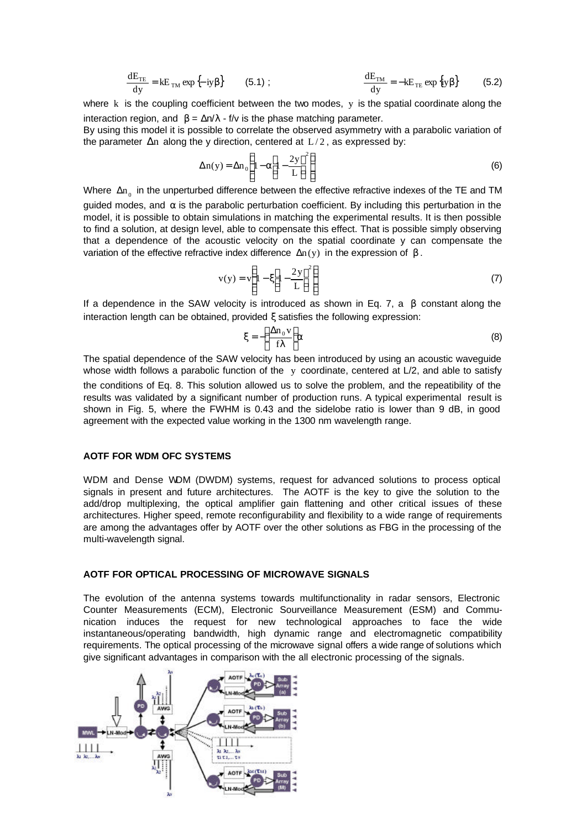$$
\frac{dE_{TE}}{dy} = kE_{TM} \exp\{-iy\beta\}
$$
 (5.1); 
$$
\frac{dE_{TM}}{dy} = -kE_{TE} \exp\{iy\beta\}
$$
 (5.2)

where  $k$  is the coupling coefficient between the two modes,  $y$  is the spatial coordinate along the interaction region, and  $β = Δn/λ - f/ν$  is the phase matching parameter.

By using this model it is possible to correlate the observed asymmetry with a parabolic variation of the parameter  $\Delta n$  along the y direction, centered at  $L/2$ , as expressed by:

$$
\Delta n(y) = \Delta n_0 \left\{ 1 - \alpha \left[ 1 - \frac{2y}{L} \right]^2 \right\} \tag{6}
$$

Where  $\Delta n_{_0}$  in the unperturbed difference between the effective refractive indexes of the TE and TM guided modes, and  $\alpha$  is the parabolic perturbation coefficient. By including this perturbation in the model, it is possible to obtain simulations in matching the experimental results. It is then possible to find a solution, at design level, able to compensate this effect. That is possible simply observing that a dependence of the acoustic velocity on the spatial coordinate y can compensate the variation of the effective refractive index difference  $Δn(y)$  in the expression of  $β$ .

 $\mathbb{R}^2$ 

$$
v(y) = v \left\{ 1 - \xi \left[ 1 - \frac{2y}{L} \right]^2 \right\} \tag{7}
$$

If a dependence in the SAW velocity is introduced as shown in Eq. 7, a  $\beta$  constant along the interaction length can be obtained, provided ξ satisfies the following expression:

$$
\xi = -\left(\frac{\Delta n_0 v}{f\lambda}\right) \alpha \tag{8}
$$

The spatial dependence of the SAW velocity has been introduced by using an acoustic waveguide whose width follows a parabolic function of the y coordinate, centered at L/2, and able to satisfy the conditions of Eq. 8. This solution allowed us to solve the problem, and the repeatibility of the results was validated by a significant number of production runs. A typical experimental result is shown in Fig. 5, where the FWHM is 0.43 and the sidelobe ratio is lower than 9 dB, in good agreement with the expected value working in the 1300 nm wavelength range.

#### **AOTF FOR WDM OFC SYSTEMS**

WDM and Dense WDM (DWDM) systems, request for advanced solutions to process optical signals in present and future architectures. The AOTF is the key to give the solution to the add/drop multiplexing, the optical amplifier gain flattening and other critical issues of these architectures. Higher speed, remote reconfigurability and flexibility to a wide range of requirements are among the advantages offer by AOTF over the other solutions as FBG in the processing of the multi-wavelength signal.

#### **AOTF FOR OPTICAL PROCESSING OF MICROWAVE SIGNALS**

The evolution of the antenna systems towards multifunctionality in radar sensors, Electronic Counter Measurements (ECM), Electronic Sourveillance Measurement (ESM) and Communication induces the request for new technological approaches to face the wide instantaneous/operating bandwidth, high dynamic range and electromagnetic compatibility requirements. The optical processing of the microwave signal offers a wide range of solutions which give significant advantages in comparison with the all electronic processing of the signals.

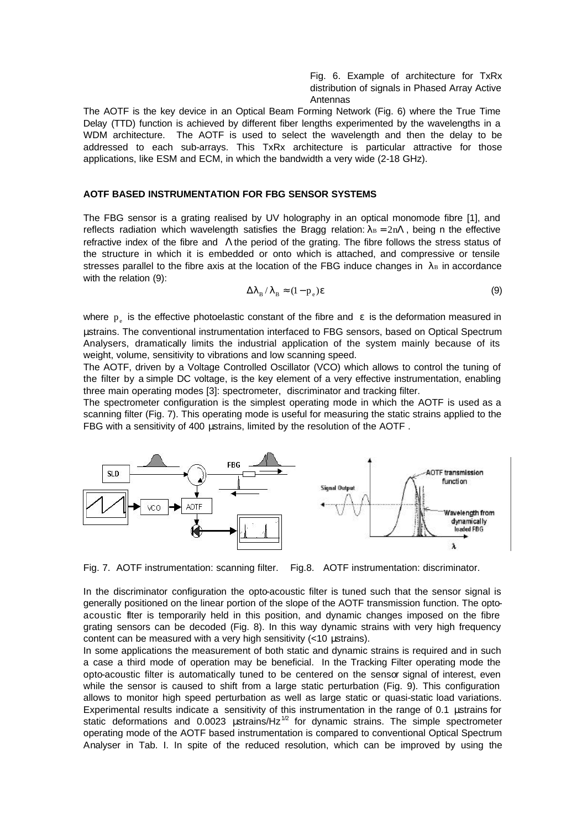Fig. 6. Example of architecture for TxRx distribution of signals in Phased Array Active Antennas

The AOTF is the key device in an Optical Beam Forming Network (Fig. 6) where the True Time Delay (TTD) function is achieved by different fiber lengths experimented by the wavelengths in a WDM architecture. The AOTF is used to select the wavelength and then the delay to be addressed to each sub-arrays. This TxRx architecture is particular attractive for those applications, like ESM and ECM, in which the bandwidth a very wide (2-18 GHz).

#### **AOTF BASED INSTRUMENTATION FOR FBG SENSOR SYSTEMS**

The FBG sensor is a grating realised by UV holography in an optical monomode fibre [1], and reflects radiation which wavelength satisfies the Bragg relation:  $\lambda_B = 2n\Lambda$ , being n the effective refractive index of the fibre and Λthe period of the grating. The fibre follows the stress status of the structure in which it is embedded or onto which is attached, and compressive or tensile stresses parallel to the fibre axis at the location of the FBG induce changes in  $\lambda_B$  in accordance with the relation (9):

$$
\Delta \lambda_{\rm B} / \lambda_{\rm B} \approx (1 - p_{\rm e}) \varepsilon \tag{9}
$$

where  $p_e$  is the effective photoelastic constant of the fibre and  $\epsilon$  is the deformation measured in μstrains. The conventional instrumentation interfaced to FBG sensors, based on Optical Spectrum Analysers, dramatically limits the industrial application of the system mainly because of its weight, volume, sensitivity to vibrations and low scanning speed.

The AOTF, driven by a Voltage Controlled Oscillator (VCO) which allows to control the tuning of the filter by a simple DC voltage, is the key element of a very effective instrumentation, enabling three main operating modes [3]: spectrometer, discriminator and tracking filter.

The spectrometer configuration is the simplest operating mode in which the AOTF is used as a scanning filter (Fig. 7). This operating mode is useful for measuring the static strains applied to the FBG with a sensitivity of 400 μstrains, limited by the resolution of the AOTF .



Fig. 7. AOTF instrumentation: scanning filter. Fig.8. AOTF instrumentation: discriminator.

In the discriminator configuration the opto-acoustic filter is tuned such that the sensor signal is generally positioned on the linear portion of the slope of the AOTF transmission function. The optoacoustic filter is temporarily held in this position, and dynamic changes imposed on the fibre grating sensors can be decoded (Fig. 8). In this way dynamic strains with very high frequency content can be measured with a very high sensitivity (<10 μstrains).

In some applications the measurement of both static and dynamic strains is required and in such a case a third mode of operation may be beneficial. In the Tracking Filter operating mode the opto-acoustic filter is automatically tuned to be centered on the sensor signal of interest, even while the sensor is caused to shift from a large static perturbation (Fig. 9). This configuration allows to monitor high speed perturbation as well as large static or quasi-static load variations. Experimental results indicate a sensitivity of this instrumentation in the range of 0.1 μstrains for static deformations and 0.0023 ustrains/Hz $1/2$  for dynamic strains. The simple spectrometer operating mode of the AOTF based instrumentation is compared to conventional Optical Spectrum Analyser in Tab. I. In spite of the reduced resolution, which can be improved by using the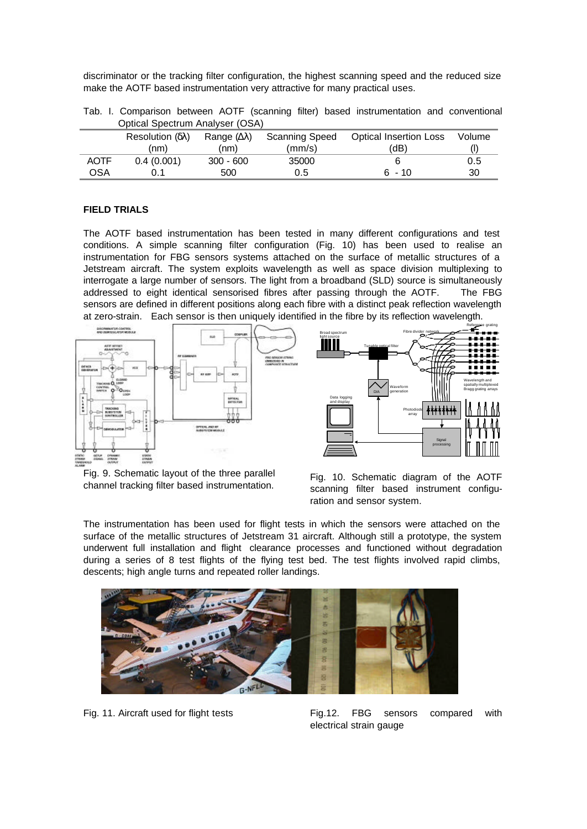discriminator or the tracking filter configuration, the highest scanning speed and the reduced size make the AOTF based instrumentation very attractive for many practical uses.

|                                 |  |  |  |  |  |  |  | Tab. I. Comparison between AOTF (scanning filter) based instrumentation and conventional                                 |  |  |  |
|---------------------------------|--|--|--|--|--|--|--|--------------------------------------------------------------------------------------------------------------------------|--|--|--|
| Optical Spectrum Analyser (OSA) |  |  |  |  |  |  |  |                                                                                                                          |  |  |  |
|                                 |  |  |  |  |  |  |  | $\mathsf{Resolution}\left( \delta \lambda \right)$ Range $(\Delta \lambda)$ Scanning Speed Optical Insertion Loss Volume |  |  |  |

|             | Resolution $(\delta \lambda)$ | Range $(\Delta \lambda)$ | Scanning Speed | <b>Optical Insertion Loss</b> | Volume |
|-------------|-------------------------------|--------------------------|----------------|-------------------------------|--------|
|             | (nm)                          | (nm)                     | (mm/s)         | (dB)                          |        |
| <b>AOTF</b> | 0.4(0.001)                    | $300 - 600$              | 35000          |                               | 0.5    |
| OSA         |                               | 500                      | 0.5            | .6 - 10                       | 30     |

# **FIELD TRIALS**

The AOTF based instrumentation has been tested in many different configurations and test conditions. A simple scanning filter configuration (Fig. 10) has been used to realise an instrumentation for FBG sensors systems attached on the surface of metallic structures of a Jetstream aircraft. The system exploits wavelength as well as space division multiplexing to interrogate a large number of sensors. The light from a broadband (SLD) source is simultaneously addressed to eight identical sensorised fibres after passing through the AOTF. The FBG sensors are defined in different positions along each fibre with a distinct peak reflection wavelength at zero-strain. Each sensor is then uniquely identified in the fibre by its reflection wavelength.



Fig. 9. Schematic layout of the three parallel channel tracking filter based instrumentation.

Fig. 10. Schematic diagram of the AOTF scanning filter based instrument configuration and sensor system.

The instrumentation has been used for flight tests in which the sensors were attached on the surface of the metallic structures of Jetstream 31 aircraft. Although still a prototype, the system underwent full installation and flight clearance processes and functioned without degradation during a series of 8 test flights of the flying test bed. The test flights involved rapid climbs, descents; high angle turns and repeated roller landings.



Fig. 11. Aircraft used for flight tests Fig.12. FBG sensors compared with electrical strain gauge